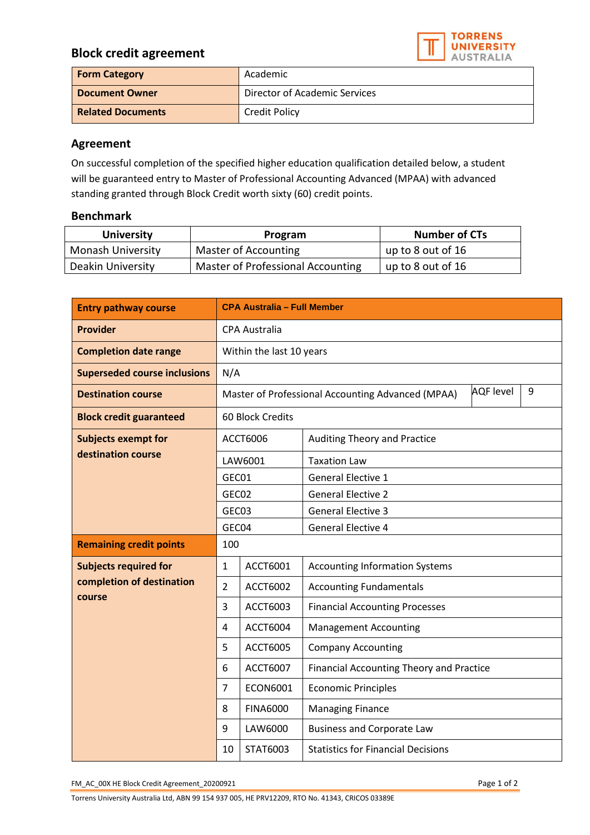## **Block credit agreement**



| <b>Form Category</b>     | Academic                      |  |
|--------------------------|-------------------------------|--|
| <b>Document Owner</b>    | Director of Academic Services |  |
| <b>Related Documents</b> | <b>Credit Policy</b>          |  |

## **Agreement**

On successful completion of the specified higher education qualification detailed below, a student will be guaranteed entry to Master of Professional Accounting Advanced (MPAA) with advanced standing granted through Block Credit worth sixty (60) credit points.

## **Benchmark**

| <b>University</b>        | Program                           | <b>Number of CTs</b> |
|--------------------------|-----------------------------------|----------------------|
| <b>Monash University</b> | Master of Accounting              | up to 8 out of 16    |
| Deakin University        | Master of Professional Accounting | up to 8 out of 16    |

| <b>Entry pathway course</b>                                         | <b>CPA Australia - Full Member</b>                                         |                 |                                           |  |  |
|---------------------------------------------------------------------|----------------------------------------------------------------------------|-----------------|-------------------------------------------|--|--|
| <b>Provider</b>                                                     | <b>CPA Australia</b>                                                       |                 |                                           |  |  |
| <b>Completion date range</b>                                        | Within the last 10 years                                                   |                 |                                           |  |  |
| <b>Superseded course inclusions</b>                                 | N/A                                                                        |                 |                                           |  |  |
| <b>Destination course</b>                                           | <b>AQF</b> level<br>9<br>Master of Professional Accounting Advanced (MPAA) |                 |                                           |  |  |
| <b>Block credit guaranteed</b>                                      | 60 Block Credits                                                           |                 |                                           |  |  |
| <b>Subjects exempt for</b><br>destination course                    | ACCT6006                                                                   |                 | Auditing Theory and Practice              |  |  |
|                                                                     | LAW6001                                                                    |                 | <b>Taxation Law</b>                       |  |  |
|                                                                     | GEC01                                                                      |                 | General Elective 1                        |  |  |
|                                                                     | GEC02                                                                      |                 | <b>General Elective 2</b>                 |  |  |
|                                                                     | GEC03                                                                      |                 | <b>General Elective 3</b>                 |  |  |
|                                                                     | GEC04                                                                      |                 | <b>General Elective 4</b>                 |  |  |
| <b>Remaining credit points</b>                                      | 100                                                                        |                 |                                           |  |  |
| <b>Subjects required for</b><br>completion of destination<br>course | 1                                                                          | ACCT6001        | <b>Accounting Information Systems</b>     |  |  |
|                                                                     | $\overline{2}$                                                             | <b>ACCT6002</b> | <b>Accounting Fundamentals</b>            |  |  |
|                                                                     | 3                                                                          | ACCT6003        | <b>Financial Accounting Processes</b>     |  |  |
|                                                                     | 4                                                                          | <b>ACCT6004</b> | <b>Management Accounting</b>              |  |  |
|                                                                     | 5                                                                          | <b>ACCT6005</b> | <b>Company Accounting</b>                 |  |  |
|                                                                     | 6                                                                          | ACCT6007        | Financial Accounting Theory and Practice  |  |  |
|                                                                     | 7                                                                          | <b>ECON6001</b> | <b>Economic Principles</b>                |  |  |
|                                                                     | 8                                                                          | <b>FINA6000</b> | <b>Managing Finance</b>                   |  |  |
|                                                                     | 9                                                                          | LAW6000         | <b>Business and Corporate Law</b>         |  |  |
|                                                                     | 10                                                                         | STAT6003        | <b>Statistics for Financial Decisions</b> |  |  |

FM\_AC\_00X HE Block Credit Agreement\_20200921